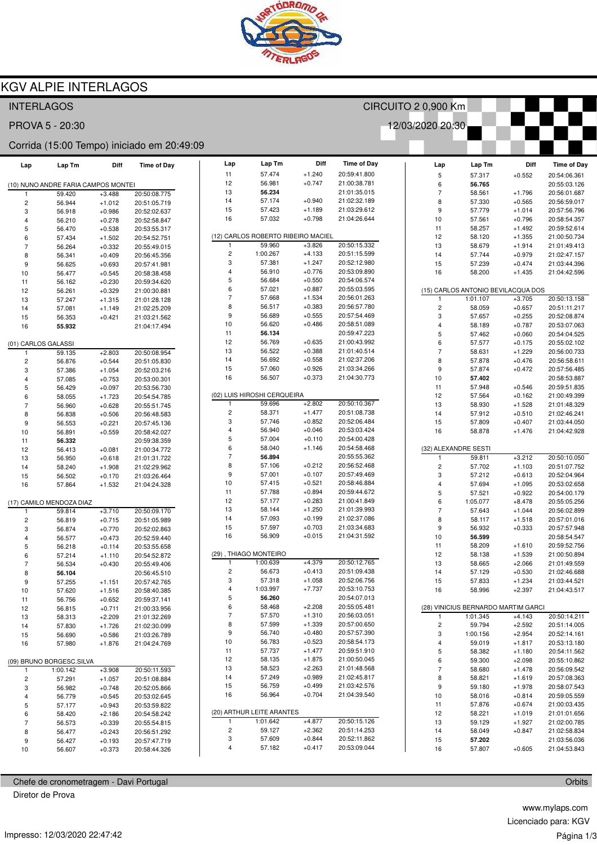

## KGV ALPIE INTERLAGOS

| <b>INTERLAGOS</b>                          |                                     |                      |                              | CIRCUITO 2 0,900 Km     |                                    |                      |                              |                           |                  |                                     |                              |
|--------------------------------------------|-------------------------------------|----------------------|------------------------------|-------------------------|------------------------------------|----------------------|------------------------------|---------------------------|------------------|-------------------------------------|------------------------------|
| 12/03/2020 20:30<br>PROVA 5 - 20:30        |                                     |                      |                              |                         |                                    |                      |                              |                           |                  |                                     |                              |
| Corrida (15:00 Tempo) iniciado em 20:49:09 |                                     |                      |                              |                         |                                    |                      |                              |                           |                  |                                     |                              |
| Lap                                        | Lap Tm                              | Diff                 | <b>Time of Day</b>           | Lap                     | Lap Tm                             | Diff                 | <b>Time of Day</b>           | Lap                       | Lap Tm           | Diff                                | <b>Time of Day</b>           |
|                                            |                                     |                      |                              | 11                      | 57.474                             | $+1.240$             | 20:59:41.800                 | 5                         | 57.317           | $+0.552$                            | 20:54:06.361                 |
|                                            | (10) NUNO ANDRE FARIA CAMPOS MONTEI |                      |                              | 12                      | 56.981                             | $+0.747$             | 21:00:38.781                 | 6                         | 56.765           |                                     | 20:55:03.126                 |
|                                            | 59.420                              | $+3.488$             | 20:50:08.775                 | 13                      | 56.234                             |                      | 21:01:35.015                 | $\overline{7}$            | 58.561           | $+1.796$                            | 20:56:01.687                 |
| $\sqrt{2}$                                 | 56.944                              | $+1.012$             | 20:51:05.719                 | 14                      | 57.174                             | $+0.940$             | 21:02:32.189                 | 8                         | 57.330           | $+0.565$                            | 20:56:59.017                 |
| 3                                          | 56.918                              | $+0.986$             | 20:52:02.637                 | 15<br>16                | 57.423<br>57.032                   | $+1.189$<br>$+0.798$ | 21:03:29.612<br>21:04:26.644 | 9                         | 57.779           | $+1.014$                            | 20:57:56.796                 |
| $\overline{4}$                             | 56.210                              | $+0.278$             | 20:52:58.847                 |                         |                                    |                      |                              | 10<br>11                  | 57.561<br>58.257 | $+0.796$<br>$+1.492$                | 20:58:54.357<br>20:59:52.614 |
| 5<br>6                                     | 56.470<br>57.434                    | $+0.538$<br>$+1.502$ | 20:53:55.317<br>20:54:52.751 |                         | (12) CARLOS ROBERTO RIBEIRO MACIEL |                      |                              | 12                        | 58.120           | $+1.355$                            | 21:00:50.734                 |
| $\overline{7}$                             | 56.264                              | $+0.332$             | 20:55:49.015                 | 1                       | 59.960                             | $+3.826$             | 20:50:15.332                 | 13                        | 58.679           | $+1.914$                            | 21:01:49.413                 |
| 8                                          | 56.341                              | $+0.409$             | 20:56:45.356                 | 2                       | 1:00.267                           | $+4.133$             | 20:51:15.599                 | 14                        | 57.744           | $+0.979$                            | 21:02:47.157                 |
| 9                                          | 56.625                              | $+0.693$             | 20:57:41.981                 | 3                       | 57.381                             | $+1.247$             | 20:52:12.980                 | 15                        | 57.239           | $+0.474$                            | 21:03:44.396                 |
| 10                                         | 56.477                              | $+0.545$             | 20:58:38.458                 | 4                       | 56.910                             | $+0.776$             | 20:53:09.890                 | 16                        | 58.200           | $+1.435$                            | 21:04:42.596                 |
| 11                                         | 56.162                              | $+0.230$             | 20:59:34.620                 | 5                       | 56.684                             | $+0.550$             | 20:54:06.574                 |                           |                  |                                     |                              |
| 12                                         | 56.261                              | $+0.329$             | 21:00:30.881                 | 6                       | 57.021                             | $+0.887$             | 20:55:03.595                 |                           |                  | (15) CARLOS ANTONIO BEVILACQUA DOS  |                              |
| 13                                         | 57.247                              | $+1.315$             | 21:01:28.128                 | $\overline{7}$          | 57.668                             | $+1.534$             | 20:56:01.263                 | $\overline{1}$            | 1:01.107         | $+3.705$                            | 20:50:13.158                 |
| 14                                         | 57.081                              | $+1.149$             | 21:02:25.209                 | 8                       | 56.517                             | $+0.383$             | 20:56:57.780                 | $\overline{c}$            | 58.059           | $+0.657$                            | 20:51:11.217                 |
| 15                                         | 56.353                              | $+0.421$             | 21:03:21.562                 | 9                       | 56.689                             | $+0.555$             | 20:57:54.469                 | 3                         | 57.657           | $+0.255$                            | 20:52:08.874                 |
| 16                                         | 55.932                              |                      | 21:04:17.494                 | 10                      | 56.620                             | $+0.486$             | 20:58:51.089                 | $\overline{\mathbf{4}}$   | 58.189           | $+0.787$                            | 20:53:07.063                 |
|                                            |                                     |                      |                              | 11<br>12                | 56.134<br>56.769                   | $+0.635$             | 20:59:47.223<br>21:00:43.992 | $\overline{5}$            | 57.462           | $+0.060$                            | 20:54:04.525                 |
| (01) CARLOS GALASSI                        |                                     |                      |                              | 13                      | 56.522                             | $+0.388$             | 21:01:40.514                 | $\,6\,$<br>$\overline{7}$ | 57.577           | $+0.175$<br>$+1.229$                | 20:55:02.102                 |
| $\mathbf{1}$                               | 59.135                              | $+2.803$             | 20:50:08.954                 | 14                      | 56.692                             | $+0.558$             | 21:02:37.206                 | 8                         | 58.631<br>57.878 | $+0.476$                            | 20:56:00.733<br>20:56:58.611 |
| $\overline{\mathbf{c}}$<br>3               | 56.876<br>57.386                    | $+0.544$<br>$+1.054$ | 20:51:05.830<br>20:52:03.216 | 15                      | 57.060                             | $+0.926$             | 21:03:34.266                 | $\boldsymbol{9}$          | 57.874           | $+0.472$                            | 20:57:56.485                 |
| $\overline{4}$                             | 57.085                              | $+0.753$             | 20:53:00.301                 | 16                      | 56.507                             | $+0.373$             | 21:04:30.773                 | 10                        | 57.402           |                                     | 20:58:53.887                 |
| 5                                          | 56.429                              | $+0.097$             | 20:53:56.730                 |                         |                                    |                      |                              | 11                        | 57.948           | $+0.546$                            | 20:59:51.835                 |
| 6                                          | 58.055                              | $+1.723$             | 20:54:54.785                 |                         | (02) LUIS HIROSHI CERQUEIRA        |                      |                              | 12                        | 57.564           | $+0.162$                            | 21:00:49.399                 |
| $\overline{7}$                             | 56.960                              | $+0.628$             | 20:55:51.745                 | $\mathbf{1}$            | 59.696                             | $+2.802$             | 20:50:10.367                 | 13                        | 58.930           | $+1.528$                            | 21:01:48.329                 |
| 8                                          | 56.838                              | $+0.506$             | 20:56:48.583                 | $\overline{\mathbf{c}}$ | 58.371                             | $+1.477$             | 20:51:08.738                 | 14                        | 57.912           | $+0.510$                            | 21:02:46.241                 |
| 9                                          | 56.553                              | $+0.221$             | 20:57:45.136                 | 3                       | 57.746                             | $+0.852$             | 20:52:06.484                 | 15                        | 57.809           | $+0.407$                            | 21:03:44.050                 |
| 10                                         | 56.891                              | $+0.559$             | 20:58:42.027                 | 4                       | 56.940                             | $+0.046$             | 20:53:03.424                 | 16                        | 58.878           | $+1.476$                            | 21:04:42.928                 |
| 11                                         | 56.332                              |                      | 20:59:38.359                 | 5                       | 57.004                             | $+0.110$             | 20:54:00.428                 |                           |                  |                                     |                              |
| 12                                         | 56.413                              | $+0.081$             | 21:00:34.772                 | 6                       | 58.040                             | $+1.146$             | 20:54:58.468                 | (32) ALEXANDRE SESTI      |                  |                                     |                              |
| 13                                         | 56.950                              | $+0.618$             | 21:01:31.722                 | $\overline{7}$          | 56.894                             |                      | 20:55:55.362                 | $\mathbf{1}$              | 59.811           | $+3.212$                            | 20:50:10.050                 |
| 14                                         | 58.240                              | $+1.908$             | 21:02:29.962                 | 8<br>$\boldsymbol{9}$   | 57.106<br>57.001                   | $+0.212$<br>$+0.107$ | 20:56:52.468<br>20:57:49.469 | $\overline{c}$            | 57.702           | $+1.103$                            | 20:51:07.752                 |
| 15                                         | 56.502                              | $+0.170$             | 21:03:26.464                 | 10                      | 57.415                             | $+0.521$             | 20:58:46.884                 | 3<br>$\overline{4}$       | 57.212<br>57.694 | $+0.613$<br>$+1.095$                | 20:52:04.964<br>20:53:02.658 |
| 16                                         | 57.864                              | $+1.532$             | 21:04:24.328                 | 11                      | 57.788                             | $+0.894$             | 20:59:44.672                 | $\overline{5}$            | 57.521           | $+0.922$                            | 20:54:00.179                 |
|                                            | (17) CAMILO MENDOZA DIAZ            |                      |                              | 12                      | 57.177                             | $+0.283$             | 21:00:41.849                 | $\,6\,$                   | 1:05.077         | $+8.478$                            | 20:55:05.256                 |
| $\mathbf{1}$                               | 59.814                              | $+3.710$             | 20:50:09.170                 | 13                      | 58.144                             | $+1.250$             | 21:01:39.993                 | $\overline{7}$            | 57.643           | $+1.044$                            | 20:56:02.899                 |
| $\overline{\mathbf{c}}$                    | 56.819                              | $+0.715$             | 20:51:05.989                 | 14                      | 57.093                             | $+0.199$             | 21:02:37.086                 | 8                         | 58.117           | $+1.518$                            | 20:57:01.016                 |
| 3                                          | 56.874                              | $+0.770$             | 20:52:02.863                 | 15                      | 57.597                             | $+0.703$             | 21:03:34.683                 | 9                         | 56.932           | $+0.333$                            | 20:57:57.948                 |
| $\overline{4}$                             | 56.577                              | $+0.473$             | 20:52:59.440                 | 16                      | 56.909                             | $+0.015$             | 21:04:31.592                 | 10                        | 56.599           |                                     | 20:58:54.547                 |
| 5                                          | 56.218                              | $+0.114$             | 20:53:55.658                 |                         |                                    |                      |                              | 11                        | 58.209           | $+1.610$                            | 20:59:52.756                 |
| 6                                          | 57.214                              | $+1.110$             | 20:54:52.872                 |                         | (29), THIAGO MONTEIRO              |                      |                              | 12                        | 58.138           | $+1.539$                            | 21:00:50.894                 |
| $\overline{7}$                             | 56.534                              | $+0.430$             | 20:55:49.406                 | $\mathbf{1}$            | 1:00.639                           | $+4.379$             | 20:50:12.765                 | 13                        | 58.665           | $+2.066$                            | 21:01:49.559                 |
| 8                                          | 56.104                              |                      | 20:56:45.510                 | 2<br>3                  | 56.673<br>57.318                   | $+0.413$<br>$+1.058$ | 20:51:09.438<br>20:52:06.756 | 14                        | 57.129           | $+0.530$                            | 21:02:46.688                 |
| 9                                          | 57.255                              | $+1.151$             | 20:57:42.765                 | 4                       | 1:03.997                           | $+7.737$             | 20:53:10.753                 | 15                        | 57.833           | $+1.234$                            | 21:03:44.521                 |
| 10                                         | 57.620                              | $+1.516$             | 20:58:40.385                 | 5                       | 56.260                             |                      | 20:54:07.013                 | 16                        | 58.996           | $+2.397$                            | 21:04:43.517                 |
| 11<br>12                                   | 56.756<br>56.815                    | $+0.652$<br>$+0.711$ | 20:59:37.141<br>21:00:33.956 | 6                       | 58.468                             | $+2.208$             | 20:55:05.481                 |                           |                  | (28) VINICIUS BERNARDO MARTIM GARCI |                              |
| 13                                         | 58.313                              | $+2.209$             | 21:01:32.269                 | $\overline{7}$          | 57.570                             | $+1.310$             | 20:56:03.051                 | $\mathbf{1}$              | 1:01.345         | $+4.143$                            | 20:50:14.211                 |
| 14                                         | 57.830                              | $+1.726$             | 21:02:30.099                 | 8                       | 57.599                             | $+1.339$             | 20:57:00.650                 | $\sqrt{2}$                | 59.794           | $+2.592$                            | 20:51:14.005                 |
| 15                                         | 56.690                              | $+0.586$             | 21:03:26.789                 | 9                       | 56.740                             | $+0.480$             | 20:57:57.390                 | 3                         | 1:00.156         | $+2.954$                            | 20:52:14.161                 |
| 16                                         | 57.980                              | $+1.876$             | 21:04:24.769                 | 10                      | 56.783                             | $+0.523$             | 20:58:54.173                 | $\overline{\mathbf{4}}$   | 59.019           | $+1.817$                            | 20:53:13.180                 |
|                                            |                                     |                      |                              | 11                      | 57.737                             | $+1.477$             | 20:59:51.910                 | 5                         | 58.382           | $+1.180$                            | 20:54:11.562                 |
| (09) BRUNO BORGESC.SILVA                   |                                     |                      | 12                           | 58.135                  | $+1.875$                           | 21:00:50.045         | 6                            | 59.300                    | $+2.098$         | 20:55:10.862                        |                              |
| $\mathbf{1}$                               | 1:00.142                            | $+3.908$             | 20:50:11.593                 | 13                      | 58.523                             | $+2.263$             | 21:01:48.568                 | $\boldsymbol{7}$          | 58.680           | $+1.478$                            | 20:56:09.542                 |
| $\overline{c}$                             | 57.291                              | $+1.057$             | 20:51:08.884                 | 14                      | 57.249                             | $+0.989$             | 21:02:45.817                 | 8                         | 58.821           | $+1.619$                            | 20:57:08.363                 |
| 3                                          | 56.982                              | $+0.748$             | 20:52:05.866                 | 15                      | 56.759                             | $+0.499$             | 21:03:42.576                 | 9                         | 59.180           | $+1.978$                            | 20:58:07.543                 |
| 4                                          | 56.779                              | $+0.545$             | 20:53:02.645                 | 16                      | 56.964                             | $+0.704$             | 21:04:39.540                 | 10                        | 58.016           | $+0.814$                            | 20:59:05.559                 |
| 5                                          | 57.177                              | $+0.943$             | 20:53:59.822                 |                         | (20) ARTHUR LEITE ARANTES          |                      |                              | 11<br>12                  | 57.876<br>58.221 | $+0.674$<br>$+1.019$                | 21:00:03.435<br>21:01:01.656 |
| 6<br>$\overline{7}$                        | 58.420<br>56.573                    | $+2.186$<br>$+0.339$ | 20:54:58.242                 | -1                      | 1:01.642                           | $+4.877$             | 20:50:15.126                 | 13                        | 59.129           | $+1.927$                            | 21:02:00.785                 |
| 8                                          | 56.477                              | $+0.243$             | 20:55:54.815<br>20:56:51.292 | 2                       | 59.127                             | $+2.362$             | 20:51:14.253                 | 14                        | 58.049           | $+0.847$                            | 21:02:58.834                 |
| 9                                          | 56.427                              | $+0.193$             | 20:57:47.719                 | 3                       | 57.609                             | $+0.844$             | 20:52:11.862                 | 15                        | 57.202           |                                     | 21:03:56.036                 |
| 10                                         | 56.607                              | $+0.373$             | 20:58:44.326                 | 4                       | 57.182                             | $+0.417$             | 20:53:09.044                 | 16                        | 57.807           | $+0.605$                            | 21:04:53.843                 |
|                                            |                                     |                      |                              |                         |                                    |                      |                              |                           |                  |                                     |                              |

Chefe de cronometragem - Davi Portugal Diretor de Prova

**Orbits** 

Impresso: 12/03/2020 22:47:42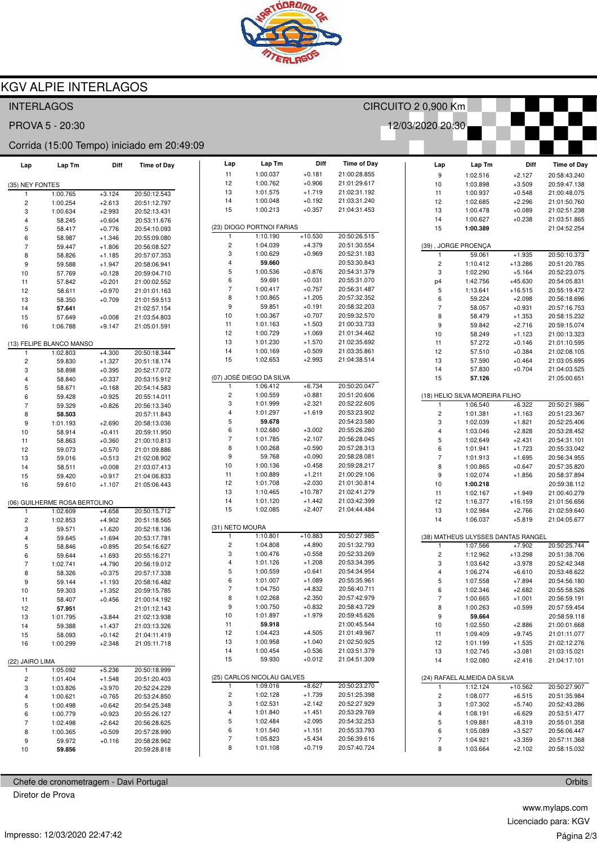

## **KGV ALPIE INTERLAGOS**

|                                            | <b>INTERLAGOS</b>             |                      |                              |                     | CIRCUITO 2 0,900 Km        |                      |                              |  |                          |                                          |                       |                              |  |
|--------------------------------------------|-------------------------------|----------------------|------------------------------|---------------------|----------------------------|----------------------|------------------------------|--|--------------------------|------------------------------------------|-----------------------|------------------------------|--|
| 12/03/2020 20:30<br>PROVA 5 - 20:30        |                               |                      |                              |                     |                            |                      |                              |  |                          |                                          |                       |                              |  |
| Corrida (15:00 Tempo) iniciado em 20:49:09 |                               |                      |                              |                     |                            |                      |                              |  |                          |                                          |                       |                              |  |
| Lap                                        | Lap Tm                        | Diff                 | <b>Time of Day</b>           | Lap                 | Lap Tm                     | Diff                 | <b>Time of Day</b>           |  | Lap                      | Lap Tm                                   | Diff                  | <b>Time of Day</b>           |  |
|                                            |                               |                      |                              | 11                  | 1:00.037                   | $+0.181$             | 21:00:28.855                 |  | 9                        | 1:02.516                                 | $+2.127$              | 20:58:43.240                 |  |
| (35) NEY FONTES                            |                               |                      |                              | 12<br>13            | 1:00.762<br>1:01.575       | $+0.906$<br>$+1.719$ | 21:01:29.617<br>21:02:31.192 |  | 10<br>11                 | 1:03.898                                 | $+3.509$              | 20:59:47.138                 |  |
| 1                                          | 1:00.765                      | $+3.124$             | 20:50:12.543<br>20:51:12.797 | 14                  | 1:00.048                   | $+0.192$             | 21:03:31.240                 |  | 12                       | 1:00.937<br>1:02.685                     | $+0.548$<br>$+2.296$  | 21:00:48.075<br>21:01:50.760 |  |
| $\overline{\mathbf{c}}$<br>3               | 1:00.254<br>1:00.634          | $+2.613$<br>$+2.993$ | 20:52:13.431                 | 15                  | 1:00.213                   | $+0.357$             | 21:04:31.453                 |  | 13                       | 1:00.478                                 | $+0.089$              | 21:02:51.238                 |  |
| $\overline{4}$                             | 58.245                        | $+0.604$             | 20:53:11.676                 |                     |                            |                      |                              |  | 14                       | 1:00.627                                 | $+0.238$              | 21:03:51.865                 |  |
| 5                                          | 58.417                        | $+0.776$             | 20:54:10.093                 |                     | (23) DIOGO PORTNOI FARIAS  |                      |                              |  | 15                       | 1:00.389                                 |                       | 21:04:52.254                 |  |
| 6                                          | 58.987                        | $+1.346$             | 20:55:09.080                 |                     | 1:10.190                   | $+10.530$            | 20:50:26.515                 |  |                          |                                          |                       |                              |  |
| $\overline{7}$                             | 59.447                        | $+1.806$             | 20:56:08.527                 | $\overline{c}$      | 1:04.039                   | $+4.379$             | 20:51:30.554                 |  |                          | (39), JORGE PROENÇA                      |                       |                              |  |
| 8                                          | 58.826                        | $+1.185$             | 20:57:07.353                 | 3                   | 1:00.629                   | $+0.969$             | 20:52:31.183                 |  | 1                        | 59.061                                   | $+1.935$              | 20:50:10.373                 |  |
| 9                                          | 59.588                        | $+1.947$             | 20:58:06.941                 | $\overline{4}$<br>5 | 59.660                     | $+0.876$             | 20:53:30.843<br>20:54:31.379 |  | $\overline{c}$           | 1:10.412                                 | $+13.286$             | 20:51:20.785                 |  |
| 10                                         | 57.769                        | $+0.128$             | 20:59:04.710                 | 6                   | 1:00.536<br>59.691         | $+0.031$             | 20:55:31.070                 |  | 3                        | 1:02.290<br>1:42.756                     | $+5.164$<br>$+45.630$ | 20:52:23.075<br>20:54:05.831 |  |
| 11<br>12                                   | 57.842<br>58.611              | $+0.201$<br>$+0.970$ | 21:00:02.552<br>21:01:01.163 | $\overline{7}$      | 1:00.417                   | $+0.757$             | 20:56:31.487                 |  | p4<br>5                  | 1:13.641                                 | $+16.515$             | 20:55:19.472                 |  |
| 13                                         | 58.350                        | $+0.709$             | 21:01:59.513                 | 8                   | 1:00.865                   | $+1.205$             | 20:57:32.352                 |  | 6                        | 59.224                                   | $+2.098$              | 20:56:18.696                 |  |
| 14                                         | 57.641                        |                      | 21:02:57.154                 | 9                   | 59.851                     | $+0.191$             | 20:58:32.203                 |  | $\overline{7}$           | 58.057                                   | $+0.931$              | 20:57:16.753                 |  |
| 15                                         | 57.649                        | $+0.008$             | 21:03:54.803                 | 10                  | 1:00.367                   | $+0.707$             | 20:59:32.570                 |  | 8                        | 58.479                                   | $+1.353$              | 20:58:15.232                 |  |
| 16                                         | 1:06.788                      | $+9.147$             | 21:05:01.591                 | 11                  | 1:01.163                   | $+1.503$             | 21:00:33.733                 |  | 9                        | 59.842                                   | $+2.716$              | 20:59:15.074                 |  |
|                                            |                               |                      |                              | 12                  | 1:00.729                   | $+1.069$             | 21:01:34.462                 |  | 10                       | 58.249                                   | $+1.123$              | 21:00:13.323                 |  |
|                                            | (13) FELIPE BLANCO MANSO      |                      |                              | 13                  | 1:01.230                   | $+1.570$             | 21:02:35.692                 |  | 11                       | 57.272                                   | $+0.146$              | 21:01:10.595                 |  |
| -1                                         | 1:02.803                      | $+4.300$             | 20:50:18.344                 | 14                  | 1:00.169                   | $+0.509$             | 21:03:35.861                 |  | 12                       | 57.510                                   | $+0.384$              | 21:02:08.105                 |  |
| $\overline{\mathbf{c}}$                    | 59.830                        | $+1.327$             | 20:51:18.174                 | 15                  | 1:02.653                   | $+2.993$             | 21:04:38.514                 |  | 13                       | 57.590                                   | $+0.464$              | 21:03:05.695                 |  |
| 3                                          | 58.898                        | $+0.395$             | 20:52:17.072                 |                     | (07) JOSÉ DIEGO DA SILVA   |                      |                              |  | 14<br>15                 | 57.830                                   | $+0.704$              | 21:04:03.525                 |  |
| $\overline{4}$<br>5                        | 58.840<br>58.671              | $+0.337$<br>$+0.168$ | 20:53:15.912<br>20:54:14.583 | $\mathbf{1}$        | 1:06.412                   | $+6.734$             | 20:50:20.047                 |  |                          | 57.126                                   |                       | 21:05:00.651                 |  |
| 6                                          | 59.428                        | $+0.925$             | 20:55:14.011                 | $\overline{c}$      | 1:00.559                   | $+0.881$             | 20:51:20.606                 |  |                          | (18) HELIO SILVA MOREIRA FILHO           |                       |                              |  |
| $\overline{7}$                             | 59.329                        | $+0.826$             | 20:56:13.340                 | 3                   | 1:01.999                   | $+2.321$             | 20:52:22.605                 |  | 1                        | 1:06.540                                 | $+6.322$              | 20:50:21.986                 |  |
| 8                                          | 58.503                        |                      | 20:57:11.843                 | $\overline{4}$      | 1:01.297                   | $+1.619$             | 20:53:23.902                 |  | $\overline{\mathbf{c}}$  | 1:01.381                                 | $+1.163$              | 20:51:23.367                 |  |
| 9                                          | 1:01.193                      | $+2.690$             | 20:58:13.036                 | 5                   | 59.678                     |                      | 20:54:23.580                 |  | 3                        | 1:02.039                                 | $+1.821$              | 20:52:25.406                 |  |
| 10                                         | 58.914                        | $+0.411$             | 20:59:11.950                 | 6                   | 1:02.680                   | $+3.002$             | 20:55:26.260                 |  | 4                        | 1:03.046                                 | $+2.828$              | 20:53:28.452                 |  |
| 11                                         | 58.863                        | $+0.360$             | 21:00:10.813                 | $\overline{7}$      | 1:01.785                   | $+2.107$             | 20:56:28.045                 |  | 5                        | 1:02.649                                 | $+2.431$              | 20:54:31.101                 |  |
| 12                                         | 59.073                        | $+0.570$             | 21:01:09.886                 | 8                   | 1:00.268                   | $+0.590$             | 20:57:28.313                 |  | 6                        | 1:01.941                                 | $+1.723$              | 20:55:33.042                 |  |
| 13                                         | 59.016                        | $+0.513$             | 21:02:08.902                 | 9                   | 59.768                     | $+0.090$             | 20:58:28.081                 |  | $\overline{7}$           | 1:01.913                                 | $+1.695$              | 20:56:34.955                 |  |
| 14                                         | 58.511                        | $+0.008$             | 21:03:07.413                 | 10<br>11            | 1:00.136<br>1:00.889       | $+0.458$<br>$+1.211$ | 20:59:28.217<br>21:00:29.106 |  | 8                        | 1:00.865                                 | $+0.647$              | 20:57:35.820                 |  |
| 15                                         | 59.420                        | $+0.917$             | 21:04:06.833                 | 12                  | 1:01.708                   | $+2.030$             | 21:01:30.814                 |  | 9<br>10                  | 1:02.074<br>1:00.218                     | $+1.856$              | 20:58:37.894<br>20:59:38.112 |  |
| 16                                         | 59.610                        | $+1.107$             | 21:05:06.443                 | 13                  | 1:10.465                   | $+10.787$            | 21:02:41.279                 |  | 11                       | 1:02.167                                 | $+1.949$              | 21:00:40.279                 |  |
|                                            | (06) GUILHERME ROSA BERTOLINO |                      |                              | 14                  | 1:01.120                   | $+1.442$             | 21:03:42.399                 |  | 12                       | 1:16.377                                 | $+16.159$             | 21:01:56.656                 |  |
| 1                                          | 1:02.609                      | $+4.658$             | 20:50:15.712                 | 15                  | 1:02.085                   | $+2.407$             | 21:04:44.484                 |  | 13                       | 1:02.984                                 | $+2.766$              | 21:02:59.640                 |  |
| $\overline{\mathbf{c}}$                    | 1:02.853                      | $+4.902$             | 20:51:18.565                 |                     |                            |                      |                              |  | 14                       | 1:06.037                                 | $+5.819$              | 21:04:05.677                 |  |
| 3                                          | 59.571                        | $+1.620$             | 20:52:18.136                 | (31) NETO MOURA     |                            |                      |                              |  |                          |                                          |                       |                              |  |
| $\overline{4}$                             | 59.645                        | $+1.694$             | 20:53:17.781                 | -1                  | 1:10.801                   | $+10.883$            | 20:50:27.985                 |  |                          | (38) MATHEUS ULYSSES DANTAS RANGEL       |                       |                              |  |
| 5                                          | 58.846                        | $+0.895$             | 20:54:16.627                 | $\overline{c}$      | 1:04.808                   | $+4.890$             | 20:51:32.793                 |  | -1                       | 1:07.566                                 | $+7.902$              | 20:50:25.744                 |  |
| 6                                          | 59.644                        | $+1.693$             | 20:55:16.271                 | 3                   | 1:00.476                   | $+0.558$             | 20:52:33.269                 |  | $\overline{\mathbf{c}}$  | 1:12.962                                 | $+13.298$             | 20:51:38.706                 |  |
| $\overline{7}$                             | 1:02.741                      | $+4.790$             | 20:56:19.012                 | $\overline{4}$<br>5 | 1:01.126<br>1:00.559       | $+1.208$<br>$+0.641$ | 20:53:34.395<br>20:54:34.954 |  | 3<br>4                   | 1:03.642<br>1:06.274                     | $+3.978$              | 20:52:42.348<br>20:53:48.622 |  |
| 8                                          | 58.326                        | $+0.375$             | 20:57:17.338                 | 6                   | 1:01.007                   | $+1.089$             | 20:55:35.961                 |  | 5                        | 1:07.558                                 | $+6.610$<br>$+7.894$  | 20:54:56.180                 |  |
| 9<br>10                                    | 59.144<br>59.303              | $+1.193$<br>$+1.352$ | 20:58:16.482<br>20:59:15.785 | $\overline{7}$      | 1:04.750                   | $+4.832$             | 20:56:40.711                 |  | 6                        | 1:02.346                                 | $+2.682$              | 20:55:58.526                 |  |
| 11                                         | 58.407                        | $+0.456$             | 21:00:14.192                 | 8                   | 1:02.268                   | $+2.350$             | 20:57:42.979                 |  | $\overline{7}$           | 1:00.665                                 | $+1.001$              | 20:56:59.191                 |  |
| 12                                         | 57.951                        |                      | 21:01:12.143                 | 9                   | 1:00.750                   | $+0.832$             | 20:58:43.729                 |  | 8                        | 1:00.263                                 | $+0.599$              | 20:57:59.454                 |  |
| 13                                         | 1:01.795                      | $+3.844$             | 21:02:13.938                 | 10                  | 1:01.897                   | $+1.979$             | 20:59:45.626                 |  | 9                        | 59.664                                   |                       | 20:58:59.118                 |  |
| 14                                         | 59.388                        | $+1.437$             | 21:03:13.326                 | 11                  | 59.918                     |                      | 21:00:45.544                 |  | $10$                     | 1:02.550                                 | $+2.886$              | 21:00:01.668                 |  |
| 15                                         | 58.093                        | $+0.142$             | 21:04:11.419                 | 12                  | 1:04.423                   | $+4.505$             | 21:01:49.967                 |  | 11                       | 1:09.409                                 | $+9.745$              | 21:01:11.077                 |  |
| 16                                         | 1:00.299                      | $+2.348$             | 21:05:11.718                 | 13                  | 1:00.958                   | $+1.040$             | 21:02:50.925                 |  | 12                       | 1:01.199                                 | $+1.535$              | 21:02:12.276                 |  |
|                                            |                               |                      |                              | 14                  | 1:00.454                   | $+0.536$             | 21:03:51.379                 |  | 13                       | 1:02.745                                 | $+3.081$              | 21:03:15.021                 |  |
| (22) JAIRO LIMA                            |                               |                      |                              | 15                  | 59.930                     | $+0.012$             | 21:04:51.309                 |  | 14                       | 1:02.080                                 | $+2.416$              | 21:04:17.101                 |  |
| -1                                         | 1:05.092                      | $+5.236$             | 20:50:18.999                 |                     | (25) CARLOS NICOLAU GALVES |                      |                              |  |                          |                                          |                       |                              |  |
| $\overline{\mathbf{c}}$<br>3               | 1:01.404<br>1:03.826          | $+1.548$<br>$+3.970$ | 20:51:20.403                 | 1                   | 1:09.016                   | $+8.627$             | 20:50:23.270                 |  | $\mathbf{1}$             | (24) RAFAEL ALMEIDA DA SILVA<br>1:12.124 | $+10.562$             | 20:50:27.907                 |  |
| 4                                          | 1:00.621                      | $+0.765$             | 20:52:24.229<br>20:53:24.850 | $\overline{c}$      | 1:02.128                   | $+1.739$             | 20:51:25.398                 |  | $\overline{\mathbf{c}}$  | 1:08.077                                 | $+6.515$              | 20:51:35.984                 |  |
| 5                                          | 1:00.498                      | $+0.642$             | 20:54:25.348                 | 3                   | 1:02.531                   | $+2.142$             | 20:52:27.929                 |  | 3                        | 1:07.302                                 | $+5.740$              | 20:52:43.286                 |  |
| 6                                          | 1:00.779                      | $+0.923$             | 20:55:26.127                 | 4                   | 1:01.840                   | $+1.451$             | 20:53:29.769                 |  | 4                        | 1:08.191                                 | $+6.629$              | 20:53:51.477                 |  |
| $\overline{7}$                             | 1:02.498                      | $+2.642$             | 20:56:28.625                 | 5                   | 1:02.484                   | $+2.095$             | 20:54:32.253                 |  | 5                        | 1:09.881                                 | $+8.319$              | 20:55:01.358                 |  |
| 8                                          | 1:00.365                      | $+0.509$             | 20:57:28.990                 | 6                   | 1:01.540                   | $+1.151$             | 20:55:33.793                 |  | 6                        | 1:05.089                                 | $+3.527$              | 20:56:06.447                 |  |
| 9                                          | 59.972                        | $+0.116$             | 20:58:28.962                 | 7                   | 1:05.823                   | $+5.434$             | 20:56:39.616                 |  | $\overline{\mathcal{I}}$ | 1:04.921                                 | $+3.359$              | 20:57:11.368                 |  |
| 10                                         | 59.856                        |                      | 20:59:28.818                 | 8                   | 1:01.108                   | $+0.719$             | 20:57:40.724                 |  | 8                        | 1:03.664                                 | $+2.102$              | 20:58:15.032                 |  |

Chefe de cronometragem - Davi Portugal

Diretor de Prova

www.mylaps.com Licenciado para: KGV Página 2/3

Orbits